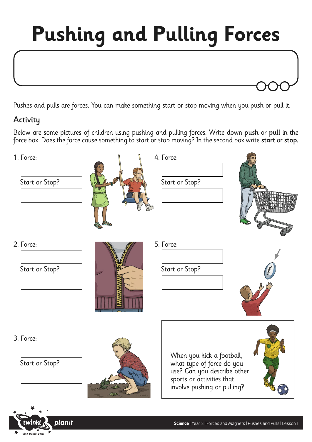## **Pushing and Pulling Forces**

Pushes and pulls are forces. You can make something start or stop moving when you push or pull it.

## **Activity**

visit twinkl.com

Below are some pictures of children using pushing and pulling forces. Write down push or pull in the force box. Does the force cause something to start or stop moving? In the second box write start or stop.